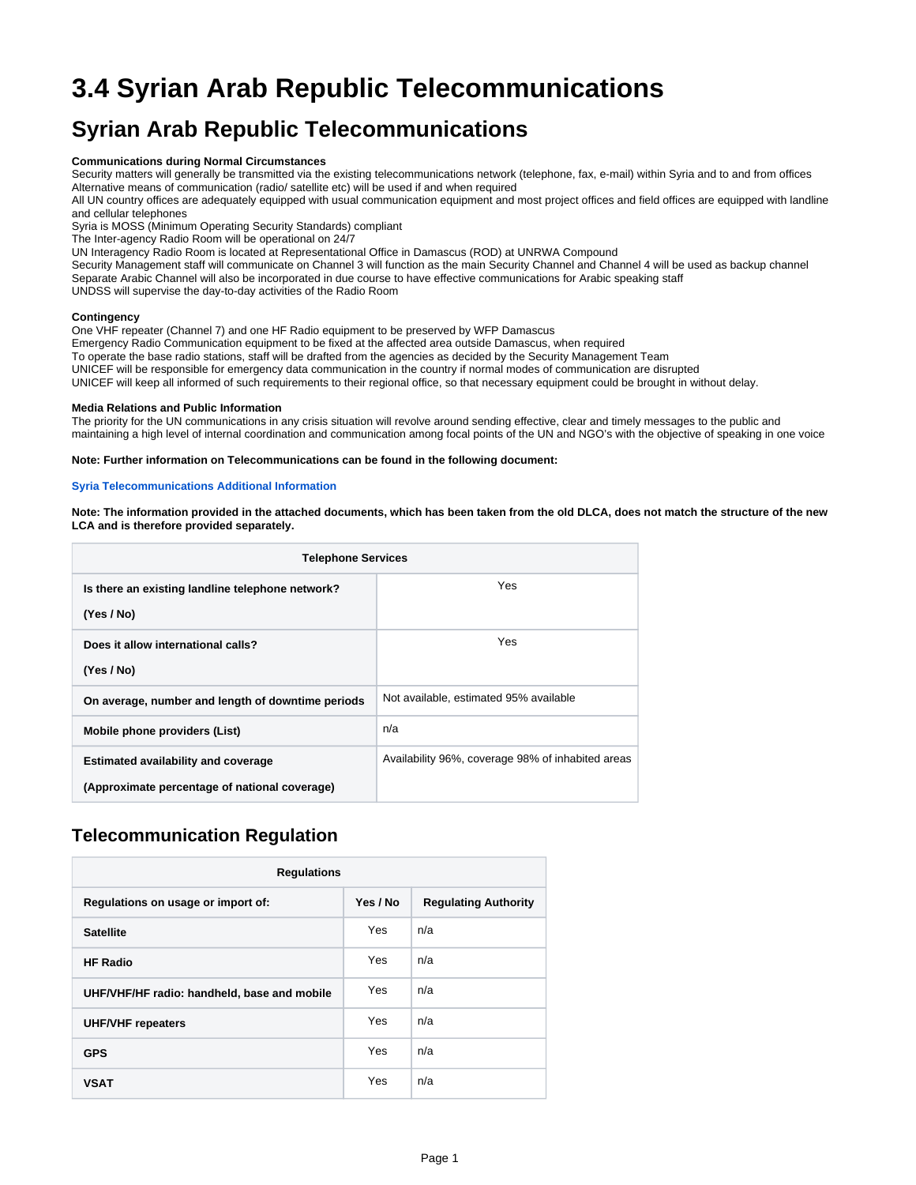# **3.4 Syrian Arab Republic Telecommunications**

## **Syrian Arab Republic Telecommunications**

#### **Communications during Normal Circumstances**

Security matters will generally be transmitted via the existing telecommunications network (telephone, fax, e-mail) within Syria and to and from offices Alternative means of communication (radio/ satellite etc) will be used if and when required

All UN country offices are adequately equipped with usual communication equipment and most project offices and field offices are equipped with landline and cellular telephones

Syria is MOSS (Minimum Operating Security Standards) compliant

The Inter-agency Radio Room will be operational on 24/7

UN Interagency Radio Room is located at Representational Office in Damascus (ROD) at UNRWA Compound

Security Management staff will communicate on Channel 3 will function as the main Security Channel and Channel 4 will be used as backup channel Separate Arabic Channel will also be incorporated in due course to have effective communications for Arabic speaking staff

UNDSS will supervise the day-to-day activities of the Radio Room

#### **Contingency**

One VHF repeater (Channel 7) and one HF Radio equipment to be preserved by WFP Damascus

Emergency Radio Communication equipment to be fixed at the affected area outside Damascus, when required

To operate the base radio stations, staff will be drafted from the agencies as decided by the Security Management Team

UNICEF will be responsible for emergency data communication in the country if normal modes of communication are disrupted

UNICEF will keep all informed of such requirements to their regional office, so that necessary equipment could be brought in without delay.

#### **Media Relations and Public Information**

The priority for the UN communications in any crisis situation will revolve around sending effective, clear and timely messages to the public and maintaining a high level of internal coordination and communication among focal points of the UN and NGO's with the objective of speaking in one voice

**Note: Further information on Telecommunications can be found in the following document:**

#### **[Syria Telecommunications Additional Information](https://dlca.logcluster.org/download/attachments/853892/Syria%20Telecommunications%20Additional%20Information.docx?version=1&modificationDate=1377092788000&api=v2)**

**Note: The information provided in the attached documents, which has been taken from the old DLCA, does not match the structure of the new LCA and is therefore provided separately.**

| <b>Telephone Services</b>                         |                                                   |  |  |  |  |  |
|---------------------------------------------------|---------------------------------------------------|--|--|--|--|--|
| Is there an existing landline telephone network?  | Yes.                                              |  |  |  |  |  |
| (Yes / No)                                        |                                                   |  |  |  |  |  |
| Does it allow international calls?                | Yes                                               |  |  |  |  |  |
| (Yes / No)                                        |                                                   |  |  |  |  |  |
| On average, number and length of downtime periods | Not available, estimated 95% available            |  |  |  |  |  |
| Mobile phone providers (List)                     | n/a                                               |  |  |  |  |  |
| <b>Estimated availability and coverage</b>        | Availability 96%, coverage 98% of inhabited areas |  |  |  |  |  |
| (Approximate percentage of national coverage)     |                                                   |  |  |  |  |  |

### **Telecommunication Regulation**

| <b>Regulations</b>                          |          |                             |  |  |  |  |  |
|---------------------------------------------|----------|-----------------------------|--|--|--|--|--|
| Regulations on usage or import of:          | Yes / No | <b>Regulating Authority</b> |  |  |  |  |  |
| <b>Satellite</b>                            | Yes      | n/a                         |  |  |  |  |  |
| <b>HF Radio</b>                             | Yes      | n/a                         |  |  |  |  |  |
| UHF/VHF/HF radio: handheld, base and mobile | Yes      | n/a                         |  |  |  |  |  |
| <b>UHF/VHF</b> repeaters                    | Yes      | n/a                         |  |  |  |  |  |
| <b>GPS</b>                                  | Yes      | n/a                         |  |  |  |  |  |
| <b>VSAT</b>                                 | Yes      | n/a                         |  |  |  |  |  |